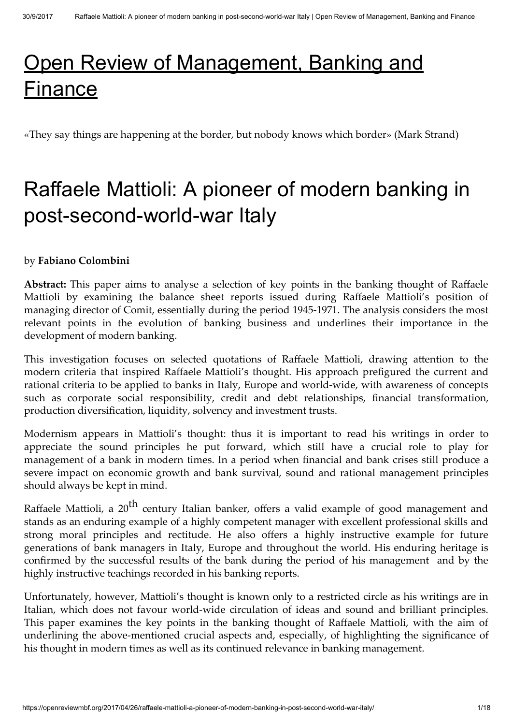# [Open Review of Management, Banking and](https://openreviewmbf.org/) Finance

«They say things are happening at the border, but nobody knows which border» (Mark Strand)

## Raffaele Mattioli: A pioneer of modern banking in post-second-world-war Italy

#### by Fabiano Colombini

Abstract: This paper aims to analyse a selection of key points in the banking thought of Raffaele Mattioli by examining the balance sheet reports issued during Raffaele Mattioli's position of managing director of Comit, essentially during the period 1945-1971. The analysis considers the most relevant points in the evolution of banking business and underlines their importance in the development of modern banking.

This investigation focuses on selected quotations of Raffaele Mattioli, drawing attention to the modern criteria that inspired Raffaele Mattioli's thought. His approach prefigured the current and rational criteria to be applied to banks in Italy, Europe and world-wide, with awareness of concepts such as corporate social responsibility, credit and debt relationships, financial transformation, production diversification, liquidity, solvency and investment trusts.

Modernism appears in Mattioli's thought: thus it is important to read his writings in order to appreciate the sound principles he put forward, which still have a crucial role to play for management of a bank in modern times. In a period when financial and bank crises still produce a severe impact on economic growth and bank survival, sound and rational management principles should always be kept in mind.

Raffaele Mattioli, a 20<sup>th</sup> century Italian banker, offers a valid example of good management and stands as an enduring example of a highly competent manager with excellent professional skills and strong moral principles and rectitude. He also offers a highly instructive example for future generations of bank managers in Italy, Europe and throughout the world. His enduring heritage is confirmed by the successful results of the bank during the period of his management and by the highly instructive teachings recorded in his banking reports.

Unfortunately, however, Mattioli's thought is known only to a restricted circle as his writings are in Italian, which does not favour world-wide circulation of ideas and sound and brilliant principles. This paper examines the key points in the banking thought of Raffaele Mattioli, with the aim of underlining the above-mentioned crucial aspects and, especially, of highlighting the significance of his thought in modern times as well as its continued relevance in banking management.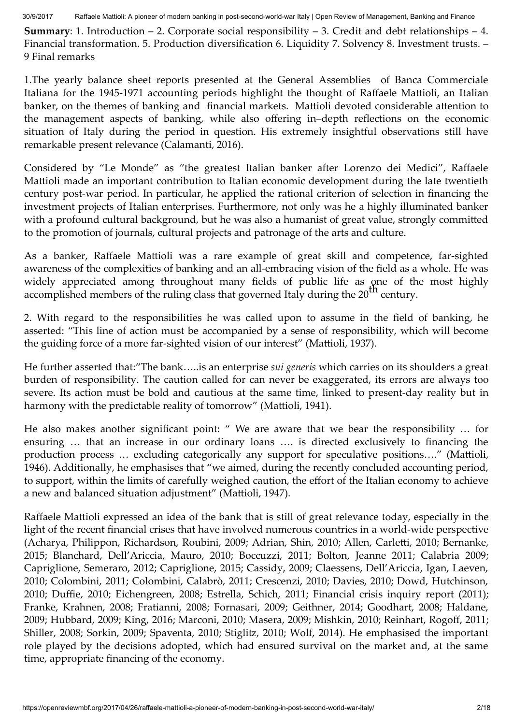**Summary:** 1. Introduction  $-2$ . Corporate social responsibility  $-3$ . Credit and debt relationships  $-4$ . Financial transformation. 5. Production diversification 6. Liquidity 7. Solvency 8. Investment trusts. – 9 Final remarks

1.The yearly balance sheet reports presented at the General Assemblies of Banca Commerciale Italiana for the 1945-1971 accounting periods highlight the thought of Raffaele Mattioli, an Italian banker, on the themes of banking and financial markets. Mattioli devoted considerable attention to the management aspects of banking, while also offering in–depth reflections on the economic situation of Italy during the period in question. His extremely insightful observations still have remarkable present relevance (Calamanti, 2016).

Considered by "Le Monde" as "the greatest Italian banker after Lorenzo dei Medici", Raffaele Mattioli made an important contribution to Italian economic development during the late twentieth century post-war period. In particular, he applied the rational criterion of selection in financing the investment projects of Italian enterprises. Furthermore, not only was he a highly illuminated banker with a profound cultural background, but he was also a humanist of great value, strongly committed to the promotion of journals, cultural projects and patronage of the arts and culture.

As a banker, Raffaele Mattioli was a rare example of great skill and competence, far-sighted awareness of the complexities of banking and an all-embracing vision of the field as a whole. He was widely appreciated among throughout many fields of public life as one of the most highly  $\frac{1}{2}$  accomplished members of the ruling class that governed Italy during the 20<sup>th</sup> century.

2. With regard to the responsibilities he was called upon to assume in the field of banking, he asserted: "This line of action must be accompanied by a sense of responsibility, which will become the guiding force of a more far-sighted vision of our interest" (Mattioli, 1937).

He further asserted that:"The bank…..is an enterprise *sui generis* which carries on its shoulders a great burden of responsibility. The caution called for can never be exaggerated, its errors are always too severe. Its action must be bold and cautious at the same time, linked to present-day reality but in harmony with the predictable reality of tomorrow" (Mattioli, 1941).

He also makes another significant point: " We are aware that we bear the responsibility … for ensuring … that an increase in our ordinary loans …. is directed exclusively to financing the production process ... excluding categorically any support for speculative positions...." (Mattioli, 1946). Additionally, he emphasises that "we aimed, during the recently concluded accounting period, to support, within the limits of carefully weighed caution, the effort of the Italian economy to achieve a new and balanced situation adjustment" (Mattioli, 1947).

Raffaele Mattioli expressed an idea of the bank that is still of great relevance today, especially in the light of the recent financial crises that have involved numerous countries in a world-wide perspective (Acharya, Philippon, Richardson, Roubini, 2009; Adrian, Shin, 2010; Allen, Carletti, 2010; Bernanke, 2015; Blanchard, Dell'Ariccia, Mauro, 2010; Boccuzzi, 2011; Bolton, Jeanne 2011; Calabria 2009; Capriglione, Semeraro, 2012; Capriglione, 2015; Cassidy, 2009; Claessens, Dell'Ariccia, Igan, Laeven, 2010; Colombini, 2011; Colombini, Calabrò, 2011; Crescenzi, 2010; Davies, 2010; Dowd, Hutchinson, 2010; Duffie, 2010; Eichengreen, 2008; Estrella, Schich, 2011; Financial crisis inquiry report (2011); Franke, Krahnen, 2008; Fratianni, 2008; Fornasari, 2009; Geithner, 2014; Goodhart, 2008; Haldane, 2009; Hubbard, 2009; King, 2016; Marconi, 2010; Masera, 2009; Mishkin, 2010; Reinhart, Rogoff, 2011; Shiller, 2008; Sorkin, 2009; Spaventa, 2010; Stiglitz, 2010; Wolf, 2014). He emphasised the important role played by the decisions adopted, which had ensured survival on the market and, at the same time, appropriate financing of the economy.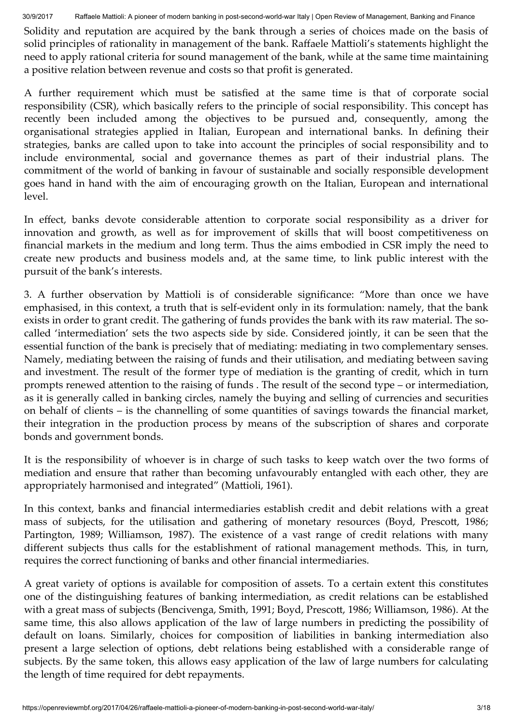Solidity and reputation are acquired by the bank through a series of choices made on the basis of solid principles of rationality in management of the bank. Raffaele Mattioli's statements highlight the need to apply rational criteria for sound management of the bank, while at the same time maintaining a positive relation between revenue and costs so that profit is generated.

A further requirement which must be satisfied at the same time is that of corporate social responsibility (CSR), which basically refers to the principle of social responsibility. This concept has recently been included among the objectives to be pursued and, consequently, among the organisational strategies applied in Italian, European and international banks. In defining their strategies, banks are called upon to take into account the principles of social responsibility and to include environmental, social and governance themes as part of their industrial plans. The commitment of the world of banking in favour of sustainable and socially responsible development goes hand in hand with the aim of encouraging growth on the Italian, European and international level.

In effect, banks devote considerable attention to corporate social responsibility as a driver for innovation and growth, as well as for improvement of skills that will boost competitiveness on financial markets in the medium and long term. Thus the aims embodied in CSR imply the need to create new products and business models and, at the same time, to link public interest with the pursuit of the bank's interests.

3. A further observation by Mattioli is of considerable significance: "More than once we have emphasised, in this context, a truth that is self-evident only in its formulation: namely, that the bank exists in order to grant credit. The gathering of funds provides the bank with its raw material. The socalled 'intermediation' sets the two aspects side by side. Considered jointly, it can be seen that the essential function of the bank is precisely that of mediating: mediating in two complementary senses. Namely, mediating between the raising of funds and their utilisation, and mediating between saving and investment. The result of the former type of mediation is the granting of credit, which in turn prompts renewed attention to the raising of funds. The result of the second type – or intermediation, as it is generally called in banking circles, namely the buying and selling of currencies and securities on behalf of clients – is the channelling of some quantities of savings towards the financial market, their integration in the production process by means of the subscription of shares and corporate bonds and government bonds.

It is the responsibility of whoever is in charge of such tasks to keep watch over the two forms of mediation and ensure that rather than becoming unfavourably entangled with each other, they are appropriately harmonised and integrated" (Mattioli, 1961).

In this context, banks and financial intermediaries establish credit and debit relations with a great mass of subjects, for the utilisation and gathering of monetary resources (Boyd, Prescott, 1986; Partington, 1989; Williamson, 1987). The existence of a vast range of credit relations with many different subjects thus calls for the establishment of rational management methods. This, in turn, requires the correct functioning of banks and other financial intermediaries.

A great variety of options is available for composition of assets. To a certain extent this constitutes one of the distinguishing features of banking intermediation, as credit relations can be established with a great mass of subjects (Bencivenga, Smith, 1991; Boyd, Prescott, 1986; Williamson, 1986). At the same time, this also allows application of the law of large numbers in predicting the possibility of default on loans. Similarly, choices for composition of liabilities in banking intermediation also present a large selection of options, debt relations being established with a considerable range of subjects. By the same token, this allows easy application of the law of large numbers for calculating the length of time required for debt repayments.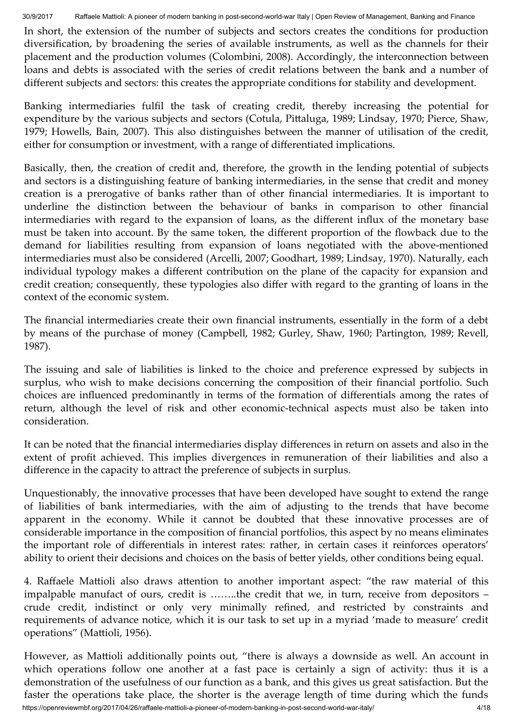In short, the extension of the number of subjects and sectors creates the conditions for production diversification, by broadening the series of available instruments, as well as the channels for their placement and the production volumes (Colombini, 2008). Accordingly, the interconnection between loans and debts is associated with the series of credit relations between the bank and a number of different subjects and sectors: this creates the appropriate conditions for stability and development.

Banking intermediaries fulfil the task of creating credit, thereby increasing the potential for expenditure by the various subjects and sectors (Cotula, Pittaluga, 1989; Lindsay, 1970; Pierce, Shaw, 1979; Howells, Bain, 2007). This also distinguishes between the manner of utilisation of the credit, either for consumption or investment, with a range of differentiated implications.

Basically, then, the creation of credit and, therefore, the growth in the lending potential of subjects and sectors is a distinguishing feature of banking intermediaries, in the sense that credit and money creation is a prerogative of banks rather than of other financial intermediaries. It is important to underline the distinction between the behaviour of banks in comparison to other financial intermediaries with regard to the expansion of loans, as the different influx of the monetary base must be taken into account. By the same token, the different proportion of the flowback due to the demand for liabilities resulting from expansion of loans negotiated with the above-mentioned intermediaries must also be considered (Arcelli, 2007; Goodhart, 1989; Lindsay, 1970). Naturally, each individual typology makes a different contribution on the plane of the capacity for expansion and credit creation; consequently, these typologies also differ with regard to the granting of loans in the context of the economic system.

The financial intermediaries create their own financial instruments, essentially in the form of a debt by means of the purchase of money (Campbell, 1982; Gurley, Shaw, 1960; Partington, 1989; Revell, 1987).

The issuing and sale of liabilities is linked to the choice and preference expressed by subjects in surplus, who wish to make decisions concerning the composition of their financial portfolio. Such choices are influenced predominantly in terms of the formation of differentials among the rates of return, although the level of risk and other economic-technical aspects must also be taken into consideration.

It can be noted that the financial intermediaries display differences in return on assets and also in the extent of profit achieved. This implies divergences in remuneration of their liabilities and also a difference in the capacity to attract the preference of subjects in surplus.

Unquestionably, the innovative processes that have been developed have sought to extend the range of liabilities of bank intermediaries, with the aim of adjusting to the trends that have become apparent in the economy. While it cannot be doubted that these innovative processes are of considerable importance in the composition of financial portfolios, this aspect by no means eliminates the important role of differentials in interest rates: rather, in certain cases it reinforces operators' ability to orient their decisions and choices on the basis of better yields, other conditions being equal.

4. Raffaele Mattioli also draws attention to another important aspect: "the raw material of this impalpable manufact of ours, credit is ……..the credit that we, in turn, receive from depositors – crude credit, indistinct or only very minimally refined, and restricted by constraints and requirements of advance notice, which it is our task to set up in a myriad 'made to measure' credit operations" (Mattioli, 1956).

https://openreviewmbf.org/2017/04/26/raffaele-mattioli-a-pioneer-of-modern-banking-in-post-second-world-war-italy/ 4/18 However, as Mattioli additionally points out, "there is always a downside as well. An account in which operations follow one another at a fast pace is certainly a sign of activity: thus it is a demonstration of the usefulness of our function as a bank, and this gives us great satisfaction. But the faster the operations take place, the shorter is the average length of time during which the funds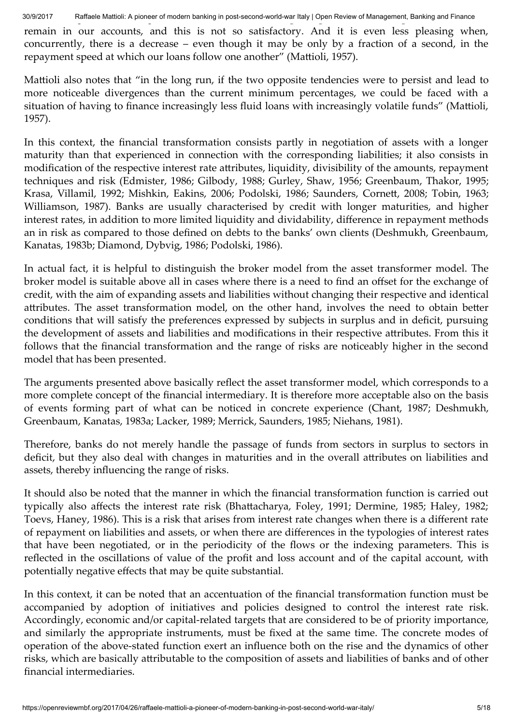remain in our accounts, and this is not so satisfactory. And it is even less pleasing when, concurrently, there is a decrease – even though it may be only by a fraction of a second, in the repayment speed at which our loans follow one another" (Mattioli, 1957).

Mattioli also notes that "in the long run, if the two opposite tendencies were to persist and lead to more noticeable divergences than the current minimum percentages, we could be faced with a situation of having to finance increasingly less fluid loans with increasingly volatile funds" (Mattioli, 1957).

In this context, the financial transformation consists partly in negotiation of assets with a longer maturity than that experienced in connection with the corresponding liabilities; it also consists in modification of the respective interest rate attributes, liquidity, divisibility of the amounts, repayment techniques and risk (Edmister, 1986; Gilbody, 1988; Gurley, Shaw, 1956; Greenbaum, Thakor, 1995; Krasa, Villamil, 1992; Mishkin, Eakins, 2006; Podolski, 1986; Saunders, Cornett, 2008; Tobin, 1963; Williamson, 1987). Banks are usually characterised by credit with longer maturities, and higher interest rates, in addition to more limited liquidity and dividability, difference in repayment methods an in risk as compared to those defined on debts to the banks' own clients (Deshmukh, Greenbaum, Kanatas, 1983b; Diamond, Dybvig, 1986; Podolski, 1986).

In actual fact, it is helpful to distinguish the broker model from the asset transformer model. The broker model is suitable above all in cases where there is a need to find an offset for the exchange of credit, with the aim of expanding assets and liabilities without changing their respective and identical attributes. The asset transformation model, on the other hand, involves the need to obtain better conditions that will satisfy the preferences expressed by subjects in surplus and in deficit, pursuing the development of assets and liabilities and modifications in their respective attributes. From this it follows that the financial transformation and the range of risks are noticeably higher in the second model that has been presented.

The arguments presented above basically reflect the asset transformer model, which corresponds to a more complete concept of the financial intermediary. It is therefore more acceptable also on the basis of events forming part of what can be noticed in concrete experience (Chant, 1987; Deshmukh, Greenbaum, Kanatas, 1983a; Lacker, 1989; Merrick, Saunders, 1985; Niehans, 1981).

Therefore, banks do not merely handle the passage of funds from sectors in surplus to sectors in deficit, but they also deal with changes in maturities and in the overall attributes on liabilities and assets, thereby influencing the range of risks.

It should also be noted that the manner in which the financial transformation function is carried out typically also affects the interest rate risk (Bhattacharya, Foley, 1991; Dermine, 1985; Haley, 1982; Toevs, Haney, 1986). This is a risk that arises from interest rate changes when there is a different rate of repayment on liabilities and assets, or when there are differences in the typologies of interest rates that have been negotiated, or in the periodicity of the flows or the indexing parameters. This is reflected in the oscillations of value of the profit and loss account and of the capital account, with potentially negative effects that may be quite substantial.

In this context, it can be noted that an accentuation of the financial transformation function must be accompanied by adoption of initiatives and policies designed to control the interest rate risk. Accordingly, economic and/or capital-related targets that are considered to be of priority importance, and similarly the appropriate instruments, must be fixed at the same time. The concrete modes of operation of the above-stated function exert an influence both on the rise and the dynamics of other risks, which are basically attributable to the composition of assets and liabilities of banks and of other financial intermediaries.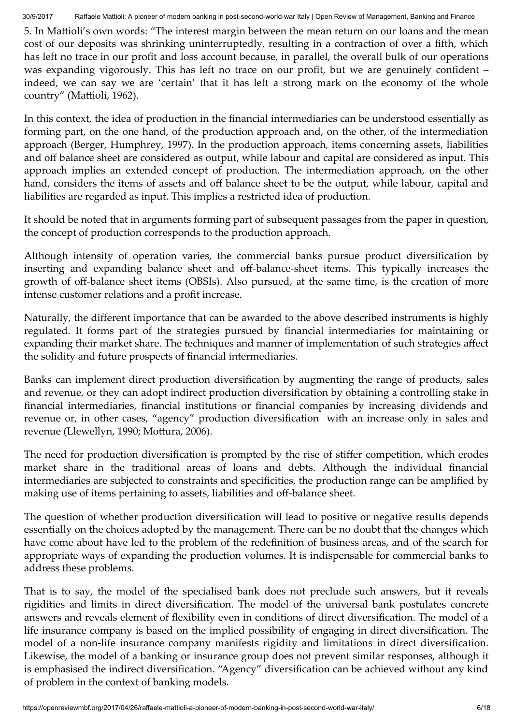5. In Mattioli's own words: "The interest margin between the mean return on our loans and the mean cost of our deposits was shrinking uninterruptedly, resulting in a contraction of over a fifth, which has left no trace in our profit and loss account because, in parallel, the overall bulk of our operations was expanding vigorously. This has left no trace on our profit, but we are genuinely confident – indeed, we can say we are 'certain' that it has left a strong mark on the economy of the whole country" (Mattioli, 1962).

In this context, the idea of production in the financial intermediaries can be understood essentially as forming part, on the one hand, of the production approach and, on the other, of the intermediation approach (Berger, Humphrey, 1997). In the production approach*,* items concerning assets, liabilities and off balance sheet are considered as output, while labour and capital are considered as input. This approach implies an extended concept of production. The intermediation approach, on the other hand, considers the items of assets and off balance sheet to be the output, while labour, capital and liabilities are regarded as input. This implies a restricted idea of production.

It should be noted that in arguments forming part of subsequent passages from the paper in question, the concept of production corresponds to the production approach.

Although intensity of operation varies, the commercial banks pursue product diversification by inserting and expanding balance sheet and off-balance-sheet items. This typically increases the growth of off-balance sheet items (OBSIs). Also pursued, at the same time, is the creation of more intense customer relations and a profit increase.

Naturally, the different importance that can be awarded to the above described instruments is highly regulated. It forms part of the strategies pursued by financial intermediaries for maintaining or expanding their market share. The techniques and manner of implementation of such strategies affect the solidity and future prospects of financial intermediaries.

Banks can implement direct production diversification by augmenting the range of products, sales and revenue, or they can adopt indirect production diversification by obtaining a controlling stake in financial intermediaries, financial institutions or financial companies by increasing dividends and revenue or, in other cases, "agency" production diversification with an increase only in sales and revenue (Llewellyn, 1990; Mottura, 2006).

The need for production diversification is prompted by the rise of stiffer competition, which erodes market share in the traditional areas of loans and debts. Although the individual financial intermediaries are subjected to constraints and specificities, the production range can be amplified by making use of items pertaining to assets, liabilities and off-balance sheet.

The question of whether production diversification will lead to positive or negative results depends essentially on the choices adopted by the management. There can be no doubt that the changes which have come about have led to the problem of the redefinition of business areas, and of the search for appropriate ways of expanding the production volumes. It is indispensable for commercial banks to address these problems.

That is to say, the model of the specialised bank does not preclude such answers, but it reveals rigidities and limits in direct diversification. The model of the universal bank postulates concrete answers and reveals element of flexibility even in conditions of direct diversification. The model of a life insurance company is based on the implied possibility of engaging in direct diversification. The model of a non-life insurance company manifests rigidity and limitations in direct diversification. Likewise, the model of a banking or insurance group does not prevent similar responses, although it is emphasised the indirect diversification. "Agency" diversification can be achieved without any kind of problem in the context of banking models.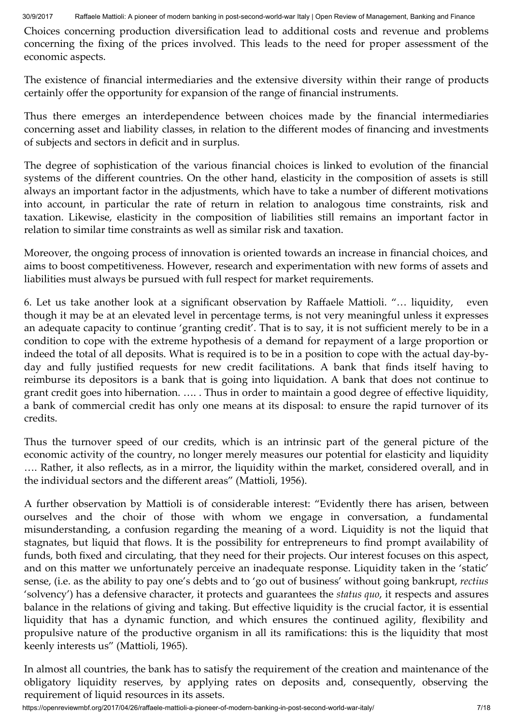Choices concerning production diversification lead to additional costs and revenue and problems concerning the fixing of the prices involved. This leads to the need for proper assessment of the economic aspects.

The existence of financial intermediaries and the extensive diversity within their range of products certainly offer the opportunity for expansion of the range of financial instruments.

Thus there emerges an interdependence between choices made by the financial intermediaries concerning asset and liability classes, in relation to the different modes of financing and investments of subjects and sectors in deficit and in surplus.

The degree of sophistication of the various financial choices is linked to evolution of the financial systems of the different countries. On the other hand, elasticity in the composition of assets is still always an important factor in the adjustments, which have to take a number of different motivations into account, in particular the rate of return in relation to analogous time constraints, risk and taxation. Likewise, elasticity in the composition of liabilities still remains an important factor in relation to similar time constraints as well as similar risk and taxation.

Moreover, the ongoing process of innovation is oriented towards an increase in financial choices, and aims to boost competitiveness. However, research and experimentation with new forms of assets and liabilities must always be pursued with full respect for market requirements.

6. Let us take another look at a significant observation by Raffaele Mattioli. "... liquidity, even though it may be at an elevated level in percentage terms, is not very meaningful unless it expresses an adequate capacity to continue 'granting credit'. That is to say, it is not sufficient merely to be in a condition to cope with the extreme hypothesis of a demand for repayment of a large proportion or indeed the total of all deposits. What is required is to be in a position to cope with the actual day-byday and fully justified requests for new credit facilitations. A bank that finds itself having to reimburse its depositors is a bank that is going into liquidation. A bank that does not continue to grant credit goes into hibernation. …. . Thus in order to maintain a good degree of effective liquidity, a bank of commercial credit has only one means at its disposal: to ensure the rapid turnover of its credits.

Thus the turnover speed of our credits, which is an intrinsic part of the general picture of the economic activity of the country, no longer merely measures our potential for elasticity and liquidity …. Rather, it also reflects, as in a mirror, the liquidity within the market, considered overall, and in the individual sectors and the different areas" (Mattioli, 1956).

A further observation by Mattioli is of considerable interest: "Evidently there has arisen, between ourselves and the choir of those with whom we engage in conversation, a fundamental misunderstanding, a confusion regarding the meaning of a word. Liquidity is not the liquid that stagnates, but liquid that flows. It is the possibility for entrepreneurs to find prompt availability of funds, both fixed and circulating, that they need for their projects. Our interest focuses on this aspect, and on this matter we unfortunately perceive an inadequate response. Liquidity taken in the 'static' sense, (i.e. as the ability to pay one's debts and to 'go out of business' without going bankrupt, *rectius* 'solvency') has a defensive character, it protects and guarantees the *status quo*, it respects and assures balance in the relations of giving and taking. But effective liquidity is the crucial factor, it is essential liquidity that has a dynamic function, and which ensures the continued agility, flexibility and propulsive nature of the productive organism in all its ramifications: this is the liquidity that most keenly interests us" (Mattioli, 1965).

In almost all countries, the bank has to satisfy the requirement of the creation and maintenance of the obligatory liquidity reserves, by applying rates on deposits and, consequently, observing the requirement of liquid resources in its assets.

https://openreviewmbf.org/2017/04/26/raffaele-mattioli-a-pioneer-of-modern-banking-in-post-second-world-war-italy/ 7/18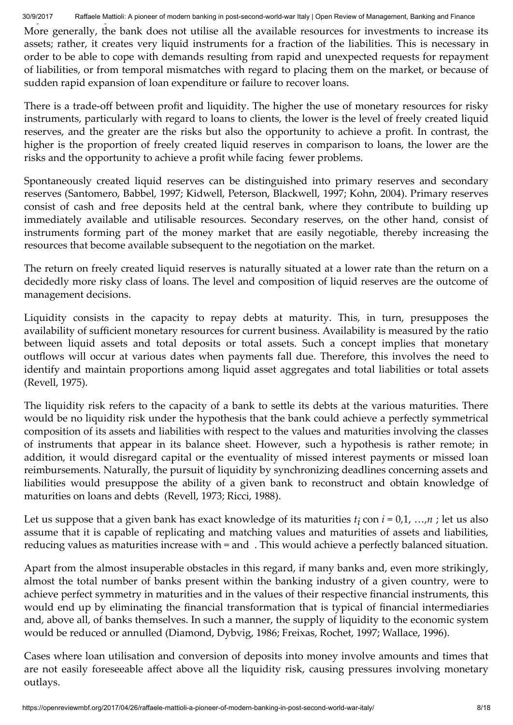More generally, the bank does not utilise all the available resources for investments to increase its assets; rather, it creates very liquid instruments for a fraction of the liabilities. This is necessary in order to be able to cope with demands resulting from rapid and unexpected requests for repayment of liabilities, or from temporal mismatches with regard to placing them on the market, or because of sudden rapid expansion of loan expenditure or failure to recover loans.

There is a trade-off between profit and liquidity. The higher the use of monetary resources for risky instruments, particularly with regard to loans to clients, the lower is the level of freely created liquid reserves, and the greater are the risks but also the opportunity to achieve a profit. In contrast, the higher is the proportion of freely created liquid reserves in comparison to loans, the lower are the risks and the opportunity to achieve a profit while facing fewer problems.

Spontaneously created liquid reserves can be distinguished into primary reserves and secondary reserves (Santomero, Babbel, 1997; Kidwell, Peterson, Blackwell, 1997; Kohn, 2004). Primary reserves consist of cash and free deposits held at the central bank, where they contribute to building up immediately available and utilisable resources. Secondary reserves, on the other hand, consist of instruments forming part of the money market that are easily negotiable, thereby increasing the resources that become available subsequent to the negotiation on the market.

The return on freely created liquid reserves is naturally situated at a lower rate than the return on a decidedly more risky class of loans. The level and composition of liquid reserves are the outcome of management decisions.

Liquidity consists in the capacity to repay debts at maturity. This, in turn, presupposes the availability of sufficient monetary resources for current business. Availability is measured by the ratio between liquid assets and total deposits or total assets. Such a concept implies that monetary outflows will occur at various dates when payments fall due. Therefore, this involves the need to identify and maintain proportions among liquid asset aggregates and total liabilities or total assets (Revell, 1975).

The liquidity risk refers to the capacity of a bank to settle its debts at the various maturities. There would be no liquidity risk under the hypothesis that the bank could achieve a perfectly symmetrical composition of its assets and liabilities with respect to the values and maturities involving the classes of instruments that appear in its balance sheet. However, such a hypothesis is rather remote; in addition, it would disregard capital or the eventuality of missed interest payments or missed loan reimbursements. Naturally, the pursuit of liquidity by synchronizing deadlines concerning assets and liabilities would presuppose the ability of a given bank to reconstruct and obtain knowledge of maturities on loans and debts (Revell, 1973; Ricci, 1988).

Let us suppose that a given bank has exact knowledge of its maturities  $t_i$  con  $i = 0,1, ..., n$  ; let us also assume that it is capable of replicating and matching values and maturities of assets and liabilities, reducing values as maturities increase with = and . This would achieve a perfectly balanced situation.

Apart from the almost insuperable obstacles in this regard, if many banks and, even more strikingly, almost the total number of banks present within the banking industry of a given country, were to achieve perfect symmetry in maturities and in the values of their respective financial instruments, this would end up by eliminating the financial transformation that is typical of financial intermediaries and, above all, of banks themselves. In such a manner, the supply of liquidity to the economic system would be reduced or annulled (Diamond, Dybvig, 1986; Freixas, Rochet, 1997; Wallace, 1996).

Cases where loan utilisation and conversion of deposits into money involve amounts and times that are not easily foreseeable affect above all the liquidity risk, causing pressures involving monetary outlays.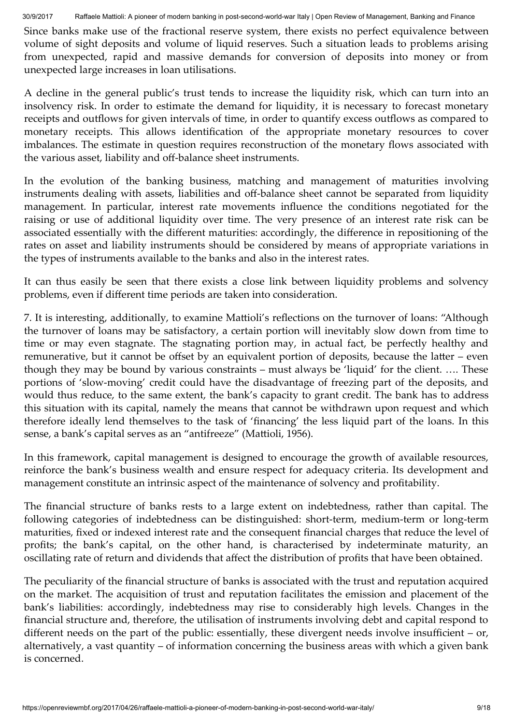Since banks make use of the fractional reserve system, there exists no perfect equivalence between volume of sight deposits and volume of liquid reserves. Such a situation leads to problems arising from unexpected, rapid and massive demands for conversion of deposits into money or from unexpected large increases in loan utilisations.

A decline in the general public's trust tends to increase the liquidity risk, which can turn into an insolvency risk. In order to estimate the demand for liquidity, it is necessary to forecast monetary receipts and outflows for given intervals of time, in order to quantify excess outflows as compared to monetary receipts. This allows identification of the appropriate monetary resources to cover imbalances. The estimate in question requires reconstruction of the monetary flows associated with the various asset, liability and off-balance sheet instruments.

In the evolution of the banking business, matching and management of maturities involving instruments dealing with assets, liabilities and off-balance sheet cannot be separated from liquidity management. In particular, interest rate movements influence the conditions negotiated for the raising or use of additional liquidity over time. The very presence of an interest rate risk can be associated essentially with the different maturities: accordingly, the difference in repositioning of the rates on asset and liability instruments should be considered by means of appropriate variations in the types of instruments available to the banks and also in the interest rates.

It can thus easily be seen that there exists a close link between liquidity problems and solvency problems, even if different time periods are taken into consideration.

7. It is interesting, additionally, to examine Mattioli's reflections on the turnover of loans: "Although the turnover of loans may be satisfactory, a certain portion will inevitably slow down from time to time or may even stagnate. The stagnating portion may, in actual fact, be perfectly healthy and remunerative, but it cannot be offset by an equivalent portion of deposits, because the latter  $-$  even though they may be bound by various constraints – must always be 'liquid' for the client. …. These portions of 'slow-moving' credit could have the disadvantage of freezing part of the deposits, and would thus reduce, to the same extent, the bank's capacity to grant credit. The bank has to address this situation with its capital, namely the means that cannot be withdrawn upon request and which therefore ideally lend themselves to the task of 'financing' the less liquid part of the loans. In this sense, a bank's capital serves as an "antifreeze" (Mattioli, 1956).

In this framework, capital management is designed to encourage the growth of available resources, reinforce the bank's business wealth and ensure respect for adequacy criteria. Its development and management constitute an intrinsic aspect of the maintenance of solvency and profitability.

The financial structure of banks rests to a large extent on indebtedness, rather than capital. The following categories of indebtedness can be distinguished: short-term, medium-term or long-term maturities, fixed or indexed interest rate and the consequent financial charges that reduce the level of profits; the bank's capital, on the other hand, is characterised by indeterminate maturity, an oscillating rate of return and dividends that affect the distribution of profits that have been obtained.

The peculiarity of the financial structure of banks is associated with the trust and reputation acquired on the market. The acquisition of trust and reputation facilitates the emission and placement of the bank's liabilities: accordingly, indebtedness may rise to considerably high levels. Changes in the financial structure and, therefore, the utilisation of instruments involving debt and capital respond to different needs on the part of the public: essentially, these divergent needs involve insufficient – or, alternatively, a vast quantity – of information concerning the business areas with which a given bank is concerned.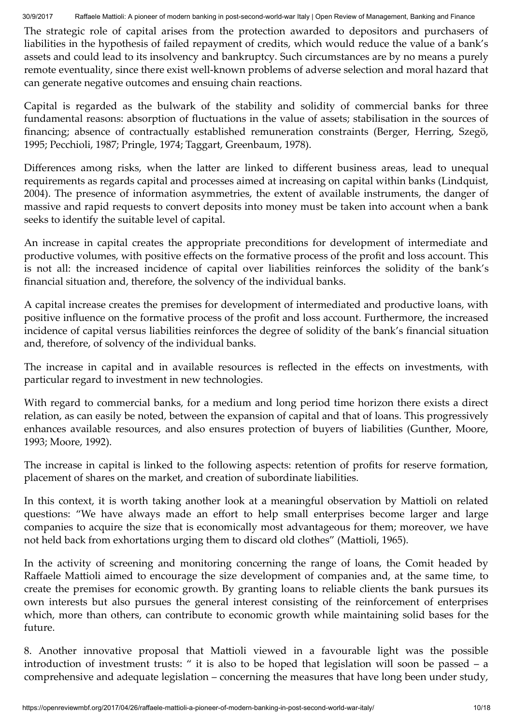The strategic role of capital arises from the protection awarded to depositors and purchasers of liabilities in the hypothesis of failed repayment of credits, which would reduce the value of a bank's assets and could lead to its insolvency and bankruptcy. Such circumstances are by no means a purely remote eventuality, since there exist well-known problems of adverse selection and moral hazard that can generate negative outcomes and ensuing chain reactions.

Capital is regarded as the bulwark of the stability and solidity of commercial banks for three fundamental reasons: absorption of fluctuations in the value of assets; stabilisation in the sources of financing; absence of contractually established remuneration constraints (Berger, Herring, Szegö, 1995; Pecchioli, 1987; Pringle, 1974; Taggart, Greenbaum, 1978).

Differences among risks, when the latter are linked to different business areas, lead to unequal requirements as regards capital and processes aimed at increasing on capital within banks (Lindquist, 2004). The presence of information asymmetries, the extent of available instruments, the danger of massive and rapid requests to convert deposits into money must be taken into account when a bank seeks to identify the suitable level of capital.

An increase in capital creates the appropriate preconditions for development of intermediate and productive volumes, with positive effects on the formative process of the profit and loss account. This is not all: the increased incidence of capital over liabilities reinforces the solidity of the bank's financial situation and, therefore, the solvency of the individual banks.

A capital increase creates the premises for development of intermediated and productive loans, with positive influence on the formative process of the profit and loss account. Furthermore, the increased incidence of capital versus liabilities reinforces the degree of solidity of the bank's financial situation and, therefore, of solvency of the individual banks.

The increase in capital and in available resources is reflected in the effects on investments, with particular regard to investment in new technologies.

With regard to commercial banks, for a medium and long period time horizon there exists a direct relation, as can easily be noted, between the expansion of capital and that of loans. This progressively enhances available resources, and also ensures protection of buyers of liabilities (Gunther, Moore, 1993; Moore, 1992).

The increase in capital is linked to the following aspects: retention of profits for reserve formation, placement of shares on the market, and creation of subordinate liabilities.

In this context, it is worth taking another look at a meaningful observation by Mattioli on related questions: "We have always made an effort to help small enterprises become larger and large companies to acquire the size that is economically most advantageous for them; moreover, we have not held back from exhortations urging them to discard old clothes" (Mattioli, 1965).

In the activity of screening and monitoring concerning the range of loans, the Comit headed by Raffaele Mattioli aimed to encourage the size development of companies and, at the same time, to create the premises for economic growth. By granting loans to reliable clients the bank pursues its own interests but also pursues the general interest consisting of the reinforcement of enterprises which, more than others, can contribute to economic growth while maintaining solid bases for the future.

8. Another innovative proposal that Mattioli viewed in a favourable light was the possible introduction of investment trusts: " it is also to be hoped that legislation will soon be passed – a comprehensive and adequate legislation – concerning the measures that have long been under study,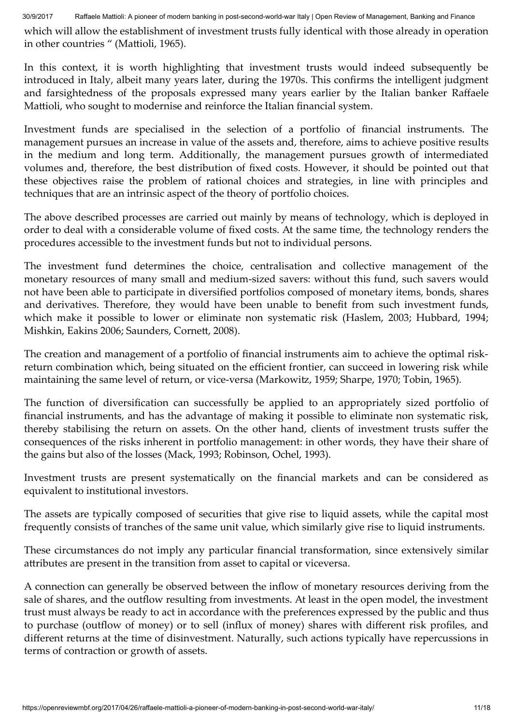which will allow the establishment of investment trusts fully identical with those already in operation in other countries " (Mattioli, 1965).

In this context, it is worth highlighting that investment trusts would indeed subsequently be introduced in Italy, albeit many years later, during the 1970s. This confirms the intelligent judgment and farsightedness of the proposals expressed many years earlier by the Italian banker Raffaele Mattioli, who sought to modernise and reinforce the Italian financial system.

Investment funds are specialised in the selection of a portfolio of financial instruments. The management pursues an increase in value of the assets and, therefore, aims to achieve positive results in the medium and long term. Additionally, the management pursues growth of intermediated volumes and, therefore, the best distribution of fixed costs. However, it should be pointed out that these objectives raise the problem of rational choices and strategies, in line with principles and techniques that are an intrinsic aspect of the theory of portfolio choices.

The above described processes are carried out mainly by means of technology, which is deployed in order to deal with a considerable volume of fixed costs. At the same time, the technology renders the procedures accessible to the investment funds but not to individual persons.

The investment fund determines the choice, centralisation and collective management of the monetary resources of many small and medium-sized savers: without this fund, such savers would not have been able to participate in diversified portfolios composed of monetary items, bonds, shares and derivatives. Therefore, they would have been unable to benefit from such investment funds, which make it possible to lower or eliminate non systematic risk (Haslem, 2003; Hubbard, 1994; Mishkin, Eakins 2006; Saunders, Cornett, 2008).

The creation and management of a portfolio of financial instruments aim to achieve the optimal riskreturn combination which, being situated on the efficient frontier, can succeed in lowering risk while maintaining the same level of return, or vice-versa (Markowitz, 1959; Sharpe, 1970; Tobin, 1965).

The function of diversification can successfully be applied to an appropriately sized portfolio of financial instruments, and has the advantage of making it possible to eliminate non systematic risk, thereby stabilising the return on assets. On the other hand, clients of investment trusts suffer the consequences of the risks inherent in portfolio management: in other words, they have their share of the gains but also of the losses (Mack, 1993; Robinson, Ochel, 1993).

Investment trusts are present systematically on the financial markets and can be considered as equivalent to institutional investors.

The assets are typically composed of securities that give rise to liquid assets, while the capital most frequently consists of tranches of the same unit value, which similarly give rise to liquid instruments.

These circumstances do not imply any particular financial transformation, since extensively similar attributes are present in the transition from asset to capital or viceversa.

A connection can generally be observed between the inflow of monetary resources deriving from the sale of shares, and the outflow resulting from investments. At least in the open model, the investment trust must always be ready to act in accordance with the preferences expressed by the public and thus to purchase (outflow of money) or to sell (influx of money) shares with different risk profiles, and different returns at the time of disinvestment. Naturally, such actions typically have repercussions in terms of contraction or growth of assets.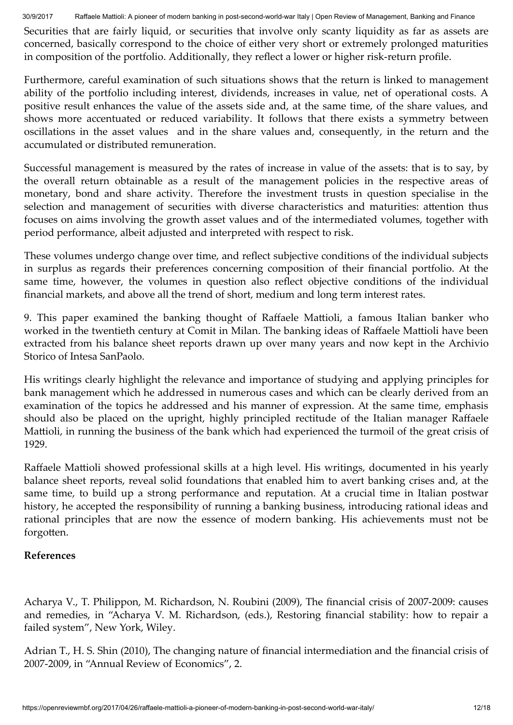Securities that are fairly liquid, or securities that involve only scanty liquidity as far as assets are concerned, basically correspond to the choice of either very short or extremely prolonged maturities in composition of the portfolio. Additionally, they reflect a lower or higher risk-return profile.

Furthermore, careful examination of such situations shows that the return is linked to management ability of the portfolio including interest, dividends, increases in value, net of operational costs. A positive result enhances the value of the assets side and, at the same time, of the share values, and shows more accentuated or reduced variability. It follows that there exists a symmetry between oscillations in the asset values and in the share values and, consequently, in the return and the accumulated or distributed remuneration.

Successful management is measured by the rates of increase in value of the assets: that is to say, by the overall return obtainable as a result of the management policies in the respective areas of monetary, bond and share activity. Therefore the investment trusts in question specialise in the selection and management of securities with diverse characteristics and maturities: attention thus focuses on aims involving the growth asset values and of the intermediated volumes, together with period performance, albeit adjusted and interpreted with respect to risk.

These volumes undergo change over time, and reflect subjective conditions of the individual subjects in surplus as regards their preferences concerning composition of their financial portfolio. At the same time, however, the volumes in question also reflect objective conditions of the individual financial markets, and above all the trend of short, medium and long term interest rates.

9. This paper examined the banking thought of Raffaele Mattioli, a famous Italian banker who worked in the twentieth century at Comit in Milan. The banking ideas of Raffaele Mattioli have been extracted from his balance sheet reports drawn up over many years and now kept in the Archivio Storico of Intesa SanPaolo.

His writings clearly highlight the relevance and importance of studying and applying principles for bank management which he addressed in numerous cases and which can be clearly derived from an examination of the topics he addressed and his manner of expression. At the same time, emphasis should also be placed on the upright, highly principled rectitude of the Italian manager Raffaele Mattioli, in running the business of the bank which had experienced the turmoil of the great crisis of 1929.

Raffaele Mattioli showed professional skills at a high level. His writings, documented in his yearly balance sheet reports, reveal solid foundations that enabled him to avert banking crises and, at the same time, to build up a strong performance and reputation. At a crucial time in Italian postwar history, he accepted the responsibility of running a banking business, introducing rational ideas and rational principles that are now the essence of modern banking. His achievements must not be forgotten.

#### References

Acharya V., T. Philippon, M. Richardson, N. Roubini (2009), The financial crisis of 2007-2009: causes and remedies, in "Acharya V. M. Richardson, (eds.), Restoring financial stability: how to repair a failed system", New York, Wiley.

Adrian T., H. S. Shin (2010), The changing nature of financial intermediation and the financial crisis of 2007-2009, in "Annual Review of Economics", 2.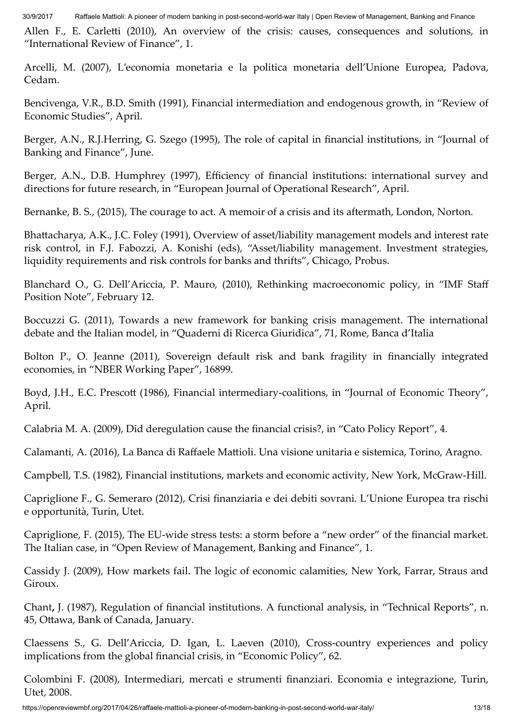Allen F., E. Carletti (2010), An overview of the crisis: causes, consequences and solutions, in "International Review of Finance", 1.

Arcelli, M. (2007), L'economia monetaria e la politica monetaria dell'Unione Europea, Padova, Cedam.

Bencivenga, V.R., B.D. Smith (1991), Financial intermediation and endogenous growth, in "Review of Economic Studies", April.

Berger, A.N., R.J.Herring, G. Szego (1995), The role of capital in financial institutions, in "Journal of Banking and Finance", June.

Berger, A.N., D.B. Humphrey (1997), Efficiency of financial institutions: international survey and directions for future research, in "European Journal of Operational Research", April.

Bernanke, B. S., (2015), The courage to act. A memoir of a crisis and its aftermath, London, Norton.

Bhattacharya, A.K., J.C. Foley (1991), Overview of asset/liability management models and interest rate risk control, in F.J. Fabozzi, A. Konishi (eds), "Asset/liability management. Investment strategies, liquidity requirements and risk controls for banks and thrifts", Chicago, Probus.

Blanchard O., G. Dell'Ariccia, P. Mauro, (2010), Rethinking macroeconomic policy, in "IMF Staff Position Note", February 12.

Boccuzzi G. (2011), Towards a new framework for banking crisis management. The international debate and the Italian model, in "Quaderni di Ricerca Giuridica", 71, Rome, Banca d'Italia

Bolton P., O. Jeanne (2011), Sovereign default risk and bank fragility in financially integrated economies, in "NBER Working Paper", 16899.

Boyd, J.H., E.C. Prescott (1986), Financial intermediary-coalitions, in "Journal of Economic Theory", April.

Calabria M. A. (2009), Did deregulation cause the financial crisis?, in "Cato Policy Report", 4.

Calamanti, A. (2016), La Banca di Raffaele Mattioli. Una visione unitaria e sistemica, Torino, Aragno.

Campbell, T.S. (1982), Financial institutions, markets and economic activity, New York, McGraw-Hill.

Capriglione F., G. Semeraro (2012), Crisi finanziaria e dei debiti sovrani. L'Unione Europea tra rischi e opportunità, Turin, Utet.

Capriglione, F. (2015), The EU-wide stress tests: a storm before a "new order" of the financial market. The Italian case, in "Open Review of Management, Banking and Finance", 1.

Cassidy J. (2009), How markets fail. The logic of economic calamities, New York, Farrar, Straus and Giroux.

Chant, J. (1987), Regulation of financial institutions. A functional analysis, in "Technical Reports", n. 45, Ottawa, Bank of Canada, January.

Claessens S., G. Dell'Ariccia, D. Igan, L. Laeven (2010), Cross-country experiences and policy implications from the global financial crisis, in "Economic Policy", 62.

Colombini F. (2008), Intermediari, mercati e strumenti finanziari. Economia e integrazione, Turin, Utet, 2008.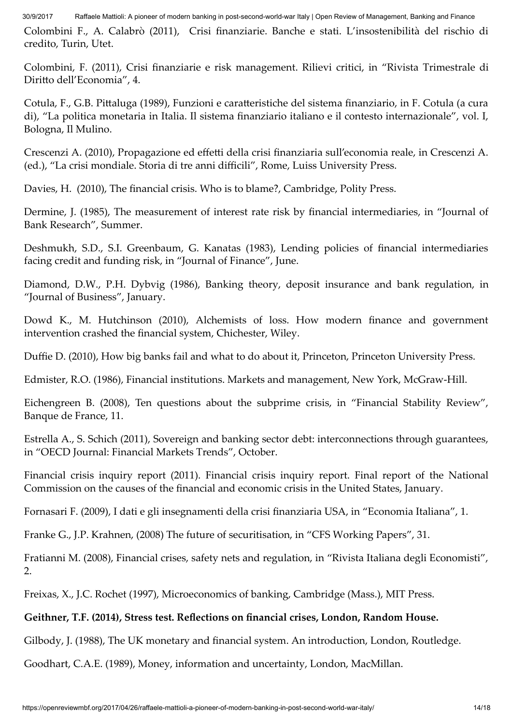Colombini F., A. Calabrò (2011), Crisi finanziarie. Banche e stati. L'insostenibilità del rischio di credito, Turin, Utet.

Colombini, F. (2011), Crisi finanziarie e risk management. Rilievi critici, in "Rivista Trimestrale di Diritto dell'Economia", 4.

Cotula, F., G.B. Pittaluga (1989), Funzioni e caratteristiche del sistema finanziario, in F. Cotula (a cura di), "La politica monetaria in Italia. Il sistema finanziario italiano e il contesto internazionale", vol. I, Bologna, Il Mulino.

Crescenzi A. (2010), Propagazione ed effetti della crisi finanziaria sull'economia reale, in Crescenzi A. (ed.), "La crisi mondiale. Storia di tre anni difficili", Rome, Luiss University Press.

Davies, H. (2010), The financial crisis. Who is to blame?, Cambridge, Polity Press.

Dermine, J. (1985), The measurement of interest rate risk by financial intermediaries, in "Journal of Bank Research", Summer.

Deshmukh, S.D., S.I. Greenbaum, G. Kanatas (1983), Lending policies of financial intermediaries facing credit and funding risk, in "Journal of Finance", June.

Diamond, D.W., P.H. Dybvig (1986), Banking theory, deposit insurance and bank regulation, in "Journal of Business", January.

Dowd K., M. Hutchinson (2010), Alchemists of loss. How modern finance and government intervention crashed the financial system, Chichester, Wiley.

Duffie D. (2010), How big banks fail and what to do about it, Princeton, Princeton University Press.

Edmister, R.O. (1986), Financial institutions. Markets and management, New York, McGraw-Hill.

Eichengreen B. (2008), Ten questions about the subprime crisis, in "Financial Stability Review", Banque de France, 11.

Estrella A., S. Schich (2011), Sovereign and banking sector debt: interconnections through guarantees, in "OECD Journal: Financial Markets Trends", October.

Financial crisis inquiry report (2011). Financial crisis inquiry report. Final report of the National Commission on the causes of the financial and economic crisis in the United States, January.

Fornasari F. (2009), I dati e gli insegnamenti della crisi finanziaria USA, in "Economia Italiana", 1.

Franke G., J.P. Krahnen, (2008) The future of securitisation, in "CFS Working Papers", 31.

Fratianni M. (2008), Financial crises, safety nets and regulation, in "Rivista Italiana degli Economisti", 2.

Freixas, X., J.C. Rochet (1997), Microeconomics of banking, Cambridge (Mass.), MIT Press.

### Geithner, T.F. (2014), Stress test. Reflections on financial crises, London, Random House.

Gilbody, J. (1988), The UK monetary and financial system. An introduction, London, Routledge.

Goodhart, C.A.E. (1989), Money, information and uncertainty, London, MacMillan.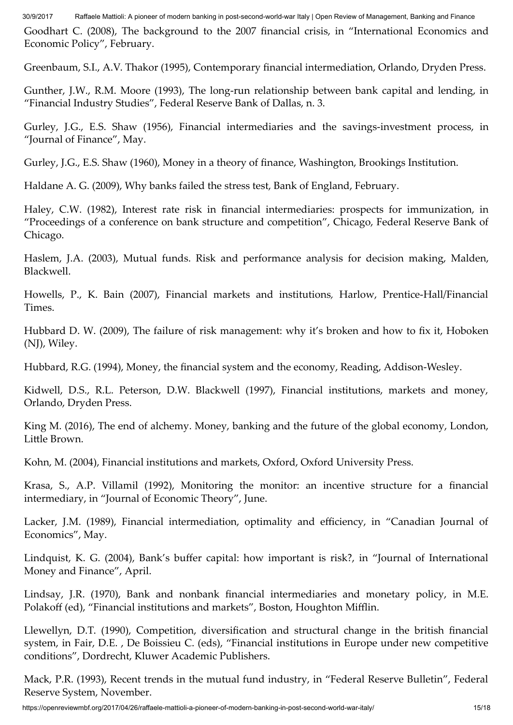Goodhart C. (2008), The background to the 2007 financial crisis, in "International Economics and Economic Policy", February.

Greenbaum, S.I., A.V. Thakor (1995), Contemporary financial intermediation, Orlando, Dryden Press.

Gunther, J.W., R.M. Moore (1993), The long-run relationship between bank capital and lending, in "Financial Industry Studies", Federal Reserve Bank of Dallas, n. 3.

Gurley, J.G., E.S. Shaw (1956), Financial intermediaries and the savings-investment process, in "Journal of Finance", May.

Gurley, J.G., E.S. Shaw (1960), Money in a theory of finance, Washington, Brookings Institution.

Haldane A. G. (2009), Why banks failed the stress test, Bank of England, February.

Haley, C.W. (1982), Interest rate risk in financial intermediaries: prospects for immunization, in "Proceedings of a conference on bank structure and competition", Chicago, Federal Reserve Bank of Chicago.

Haslem, J.A. (2003), Mutual funds. Risk and performance analysis for decision making, Malden, Blackwell.

Howells, P., K. Bain (2007), Financial markets and institutions*,* Harlow, Prentice-Hall/Financial Times.

Hubbard D. W. (2009), The failure of risk management: why it's broken and how to fix it, Hoboken (NJ), Wiley.

Hubbard, R.G. (1994), Money, the financial system and the economy, Reading, Addison-Wesley.

Kidwell, D.S., R.L. Peterson, D.W. Blackwell (1997), Financial institutions, markets and money, Orlando, Dryden Press.

King M. (2016), The end of alchemy. Money, banking and the future of the global economy, London, Little Brown.

Kohn, M. (2004), Financial institutions and markets, Oxford, Oxford University Press.

Krasa, S., A.P. Villamil (1992), Monitoring the monitor: an incentive structure for a financial intermediary, in "Journal of Economic Theory", June.

Lacker, J.M. (1989), Financial intermediation, optimality and efficiency, in "Canadian Journal of Economics", May.

Lindquist, K. G. (2004), Bank's buffer capital: how important is risk?, in "Journal of International Money and Finance", April.

Lindsay, J.R. (1970), Bank and nonbank financial intermediaries and monetary policy, in M.E. Polakoff (ed), "Financial institutions and markets", Boston, Houghton Mifflin.

Llewellyn, D.T. (1990), Competition, diversification and structural change in the british financial system, in Fair, D.E. , De Boissieu C. (eds), "Financial institutions in Europe under new competitive conditions", Dordrecht, Kluwer Academic Publishers.

Mack, P.R. (1993), Recent trends in the mutual fund industry, in "Federal Reserve Bulletin", Federal Reserve System, November.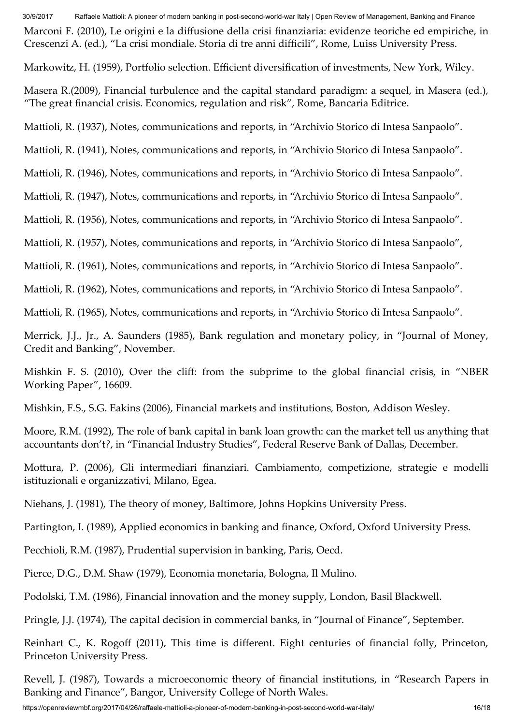Marconi F. (2010), Le origini e la diffusione della crisi finanziaria: evidenze teoriche ed empiriche, in Crescenzi A. (ed.), "La crisi mondiale. Storia di tre anni difficili", Rome, Luiss University Press.

Markowitz, H. (1959), Portfolio selection. Efficient diversification of investments, New York, Wiley.

Masera R.(2009), Financial turbulence and the capital standard paradigm: a sequel, in Masera (ed.), "The great financial crisis. Economics, regulation and risk", Rome, Bancaria Editrice.

Mattioli, R. (1937), Notes, communications and reports, in "Archivio Storico di Intesa Sanpaolo".

Mattioli, R. (1941), Notes, communications and reports, in "Archivio Storico di Intesa Sanpaolo".

Mattioli, R. (1946), Notes, communications and reports, in "Archivio Storico di Intesa Sanpaolo".

Mattioli, R. (1947), Notes, communications and reports, in "Archivio Storico di Intesa Sanpaolo".

Mattioli, R. (1956), Notes, communications and reports, in "Archivio Storico di Intesa Sanpaolo".

Mattioli, R. (1957), Notes, communications and reports, in "Archivio Storico di Intesa Sanpaolo",

Mattioli, R. (1961), Notes, communications and reports, in "Archivio Storico di Intesa Sanpaolo".

Mattioli, R. (1962), Notes, communications and reports, in "Archivio Storico di Intesa Sanpaolo".

Mattioli, R. (1965), Notes, communications and reports, in "Archivio Storico di Intesa Sanpaolo".

Merrick, J.J., Jr., A. Saunders (1985), Bank regulation and monetary policy, in "Journal of Money, Credit and Banking", November.

Mishkin F. S. (2010), Over the cliff: from the subprime to the global financial crisis, in "NBER Working Paper", 16609.

Mishkin, F.S., S.G. Eakins (2006), Financial markets and institutions*,* Boston, Addison Wesley.

Moore, R.M. (1992), The role of bank capital in bank loan growth: can the market tell us anything that accountants don't*?*, in "Financial Industry Studies", Federal Reserve Bank of Dallas, December.

Mottura, P. (2006), Gli intermediari finanziari. Cambiamento, competizione, strategie e modelli istituzionali e organizzativi*,* Milano, Egea.

Niehans, J. (1981), The theory of money, Baltimore, Johns Hopkins University Press.

Partington, I. (1989), Applied economics in banking and finance, Oxford, Oxford University Press.

Pecchioli, R.M. (1987), Prudential supervision in banking, Paris, Oecd.

Pierce, D.G., D.M. Shaw (1979), Economia monetaria, Bologna, Il Mulino.

Podolski, T.M. (1986), Financial innovation and the money supply, London, Basil Blackwell.

Pringle, J.J. (1974), The capital decision in commercial banks, in "Journal of Finance", September.

Reinhart C., K. Rogoff (2011), This time is different. Eight centuries of financial folly, Princeton, Princeton University Press.

Revell, J. (1987), Towards a microeconomic theory of financial institutions, in "Research Papers in Banking and Finance", Bangor, University College of North Wales.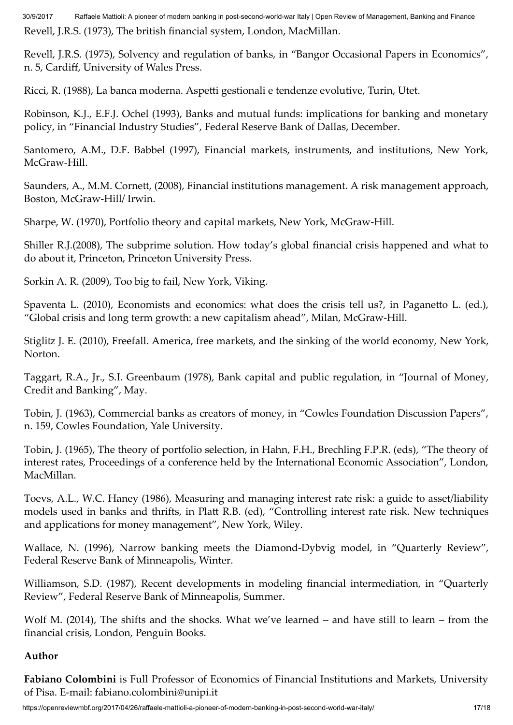Revell, J.R.S. (1973), The british financial system, London, MacMillan.

Revell, J.R.S. (1975), Solvency and regulation of banks, in "Bangor Occasional Papers in Economics", n. 5, Cardiff, University of Wales Press.

Ricci, R. (1988), La banca moderna. Aspetti gestionali e tendenze evolutive, Turin, Utet.

Robinson, K.J., E.F.J. Ochel (1993), Banks and mutual funds: implications for banking and monetary policy, in "Financial Industry Studies", Federal Reserve Bank of Dallas, December.

Santomero, A.M., D.F. Babbel (1997), Financial markets, instruments, and institutions, New York, McGraw-Hill.

Saunders, A., M.M. Cornett, (2008), Financial institutions management. A risk management approach, Boston, McGraw-Hill/ Irwin.

Sharpe, W. (1970), Portfolio theory and capital markets, New York, McGraw-Hill.

Shiller R.J.(2008), The subprime solution. How today's global financial crisis happened and what to do about it, Princeton, Princeton University Press.

Sorkin A. R. (2009), Too big to fail, New York, Viking.

Spaventa L. (2010), Economists and economics: what does the crisis tell us?, in Paganetto L. (ed.), "Global crisis and long term growth: a new capitalism ahead", Milan, McGraw-Hill.

Stiglitz J. E. (2010), Freefall. America, free markets, and the sinking of the world economy, New York, Norton.

Taggart, R.A., Jr., S.I. Greenbaum (1978), Bank capital and public regulation, in "Journal of Money, Credit and Banking", May.

Tobin, J. (1963), Commercial banks as creators of money, in "Cowles Foundation Discussion Papers", n. 159, Cowles Foundation, Yale University.

Tobin, J. (1965), The theory of portfolio selection, in Hahn, F.H., Brechling F.P.R. (eds), "The theory of interest rates, Proceedings of a conference held by the International Economic Association", London, MacMillan.

Toevs, A.L., W.C. Haney (1986), Measuring and managing interest rate risk: a guide to asset/liability models used in banks and thrifts, in Platt R.B. (ed), "Controlling interest rate risk. New techniques and applications for money management", New York, Wiley.

Wallace, N. (1996), Narrow banking meets the Diamond-Dybvig model, in "Quarterly Review", Federal Reserve Bank of Minneapolis, Winter.

Williamson, S.D. (1987), Recent developments in modeling financial intermediation, in "Quarterly Review", Federal Reserve Bank of Minneapolis, Summer.

Wolf M. (2014), The shifts and the shocks. What we've learned – and have still to learn – from the financial crisis, London, Penguin Books.

### Author

Fabiano Colombini is Full Professor of Economics of Financial Institutions and Markets, University of Pisa. E-mail: fabiano.colombini@unipi.it